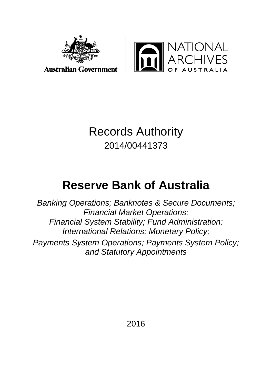



**Australian Government** 

# Records Authority 2014/00441373

# **Reserve Bank of Australia**

*Banking Operations; Banknotes & Secure Documents; Financial Market Operations; Financial System Stability; Fund Administration; International Relations; Monetary Policy; Payments System Operations; Payments System Policy; and Statutory Appointments*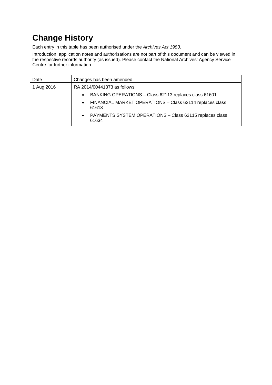# **Change History**

Each entry in this table has been authorised under the *Archives Act 1983*.

Introduction, application notes and authorisations are not part of this document and can be viewed in the respective records authority (as issued). Please contact the National Archives' Agency Service Centre for further information.

| Date       | Changes has been amended                                                       |
|------------|--------------------------------------------------------------------------------|
| 1 Aug 2016 | RA 2014/00441373 as follows:                                                   |
|            | BANKING OPERATIONS - Class 62113 replaces class 61601<br>$\bullet$             |
|            | FINANCIAL MARKET OPERATIONS - Class 62114 replaces class<br>$\bullet$<br>61613 |
|            | PAYMENTS SYSTEM OPERATIONS - Class 62115 replaces class<br>$\bullet$<br>61634  |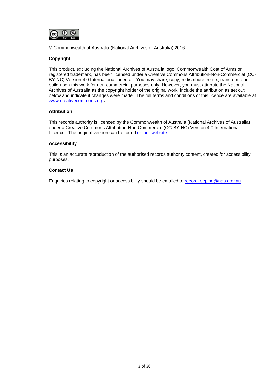

© Commonwealth of Australia (National Archives of Australia) 2016

### **Copyright**

This product, excluding the National Archives of Australia logo, Commonwealth Coat of Arms or registered trademark, has been licensed under a Creative Commons Attribution-Non-Commercial (CC-BY-NC) Version 4.0 International Licence. You may share, copy, redistribute, remix, transform and build upon this work for non-commercial purposes only. However, you must attribute the National Archives of Australia as the copyright holder of the original work, include the attribution as set out below and indicate if changes were made. The full terms and conditions of this licence are available at [www.creativecommons.org](http://www.creativecommons.org/)**.**

### **Attribution**

This records authority is licenced by the Commonwealth of Australia (National Archives of Australia) under a Creative Commons Attribution-Non-Commercial (CC-BY-NC) Version 4.0 International Licence. The original version can be found [on our website.](http://www.naa.gov.au/)

### **Accessibility**

This is an accurate reproduction of the authorised records authority content, created for accessibility purposes.

### **Contact Us**

Enquiries relating to copyright or accessibility should be emailed to [recordkeeping@naa.gov.au.](mailto:recordkeeping@naa.gov.au)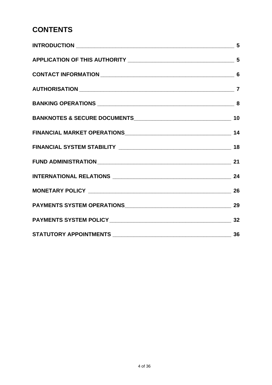# **CONTENTS**

| 5 |
|---|
|   |
|   |
|   |
|   |
|   |
|   |
|   |
|   |
|   |
|   |
|   |
|   |
|   |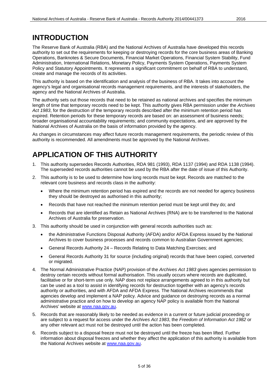### <span id="page-4-0"></span>**INTRODUCTION**

The Reserve Bank of Australia (RBA) and the National Archives of Australia have developed this records authority to set out the requirements for keeping or destroying records for the core business areas of Banking Operations, Banknotes & Secure Documents, Financial Market Operations, Financial System Stability, Fund Administration, International Relations, Monetary Policy, Payments System Operations, Payments System Policy and Statutory Appointments. It represents a significant commitment on behalf of RBA to understand, create and manage the records of its activities.

This authority is based on the identification and analysis of the business of RBA. It takes into account the agency's legal and organisational records management requirements, and the interests of stakeholders, the agency and the National Archives of Australia.

The authority sets out those records that need to be retained as national archives and specifies the minimum length of time that temporary records need to be kept. This authority gives RBA permission under the *Archives Act 1983*, for the destruction of the temporary records described after the minimum retention period has expired. Retention periods for these temporary records are based on: an assessment of business needs; broader organisational accountability requirements; and community expectations, and are approved by the National Archives of Australia on the basis of information provided by the agency.

As changes in circumstances may affect future records management requirements, the periodic review of this authority is recommended. All amendments must be approved by the National Archives.

### <span id="page-4-1"></span>**APPLICATION OF THIS AUTHORITY**

- 1. This authority supersedes Records Authorities, RDA 981 (1993), RDA 1137 (1994) and RDA 1138 (1994). The superseded records authorities cannot be used by the RBA after the date of issue of this Authority.
- 2. This authority is to be used to determine how long records must be kept. Records are matched to the relevant core business and records class in the authority:
	- Where the minimum retention period has expired and the records are not needed for agency business they should be destroyed as authorised in this authority;
	- Records that have not reached the minimum retention period must be kept until they do; and
	- Records that are identified as Retain as National Archives (RNA) are to be transferred to the National Archives of Australia for preservation.
- 3. This authority should be used in conjunction with general records authorities such as:
	- the Administrative Functions Disposal Authority (AFDA) and/or AFDA Express issued by the National Archives to cover business processes and records common to Australian Government agencies;
	- General Records Authority 24 Records Relating to Data Matching Exercises; and
	- General Records Authority 31 for source (including original) records that have been copied, converted or migrated.
- 4. The Normal Administrative Practice (NAP) provision of the *Archives Act 1983* gives agencies permission to destroy certain records without formal authorisation. This usually occurs where records are duplicated, facilitative or for short-term use only. NAP does not replace arrangements agreed to in this authority but can be used as a tool to assist in identifying records for destruction together with an agency's records authority or authorities, and with AFDA and AFDA Express. The National Archives recommends that agencies develop and implement a NAP policy. Advice and guidance on destroying records as a normal administrative practice and on how to develop an agency NAP policy is available from the National Archives' website at [www.naa.gov.au.](http://www.naa.gov.au/)
- 5. Records that are reasonably likely to be needed as evidence in a current or future judicial proceeding or are subject to a request for access under the *Archives Act 1983*, the *Freedom of Information Act 1982* or any other relevant act must not be destroyed until the action has been completed.
- 6. Records subject to a disposal freeze must not be destroyed until the freeze has been lifted. Further information about disposal freezes and whether they affect the application of this authority is available from the National Archives website at [www.naa.gov.au.](http://www.naa.gov.au/)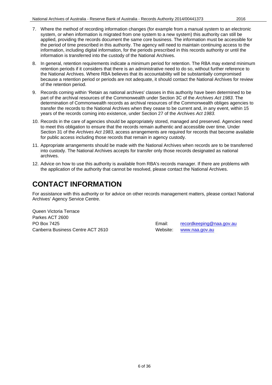- 
- 7. Where the method of recording information changes (for example from a manual system to an electronic system, or when information is migrated from one system to a new system) this authority can still be applied, providing the records document the same core business. The information must be accessible for the period of time prescribed in this authority. The agency will need to maintain continuing access to the information, including digital information, for the periods prescribed in this records authority or until the information is transferred into the custody of the National Archives.
- 8. In general, retention requirements indicate a minimum period for retention. The RBA may extend minimum retention periods if it considers that there is an administrative need to do so, without further reference to the National Archives. Where RBA believes that its accountability will be substantially compromised because a retention period or periods are not adequate, it should contact the National Archives for review of the retention period.
- 9. Records coming within 'Retain as national archives' classes in this authority have been determined to be part of the archival resources of the Commonwealth under Section 3C of the *Archives Act 1983*. The determination of Commonwealth records as archival resources of the Commonwealth obliges agencies to transfer the records to the National Archives when they cease to be current and, in any event, within 15 years of the records coming into existence, under Section 27 of the *Archives Act 1983*.
- 10. Records in the care of agencies should be appropriately stored, managed and preserved. Agencies need to meet this obligation to ensure that the records remain authentic and accessible over time. Under Section 31 of the *Archives Act 1983*, access arrangements are required for records that become available for public access including those records that remain in agency custody.
- 11. Appropriate arrangements should be made with the National Archives when records are to be transferred into custody. The National Archives accepts for transfer only those records designated as national archives.
- 12. Advice on how to use this authority is available from RBA's records manager. If there are problems with the application of the authority that cannot be resolved, please contact the National Archives.

# <span id="page-5-0"></span>**CONTACT INFORMATION**

For assistance with this authority or for advice on other records management matters, please contact National Archives' Agency Service Centre.

Queen Victoria Terrace Parkes ACT 2600 Canberra Business Centre ACT 2610 Website: [www.naa.gov.au](http://www.naa.gov.au/)

PO Box 7425 **Email:** [recordkeeping@naa.gov.au](mailto:recordkeeping@naa.gov.au) **Email: Email:** recordkeeping@naa.gov.au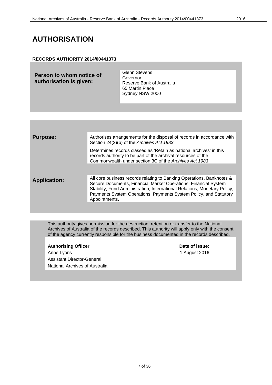### <span id="page-6-0"></span>**AUTHORISATION**

### **RECORDS AUTHORITY 2014/00441373**

| Person to whom notice of<br>authorisation is given: | <b>Glenn Stevens</b><br>Governor<br>Reserve Bank of Australia<br>65 Martin Place |
|-----------------------------------------------------|----------------------------------------------------------------------------------|
|                                                     | Sydney NSW 2000                                                                  |

| <b>Purpose:</b>     | Authorises arrangements for the disposal of records in accordance with<br>Section 24(2)(b) of the Archives Act 1983                                                                                                                                                                                         |
|---------------------|-------------------------------------------------------------------------------------------------------------------------------------------------------------------------------------------------------------------------------------------------------------------------------------------------------------|
|                     | Determines records classed as 'Retain as national archives' in this<br>records authority to be part of the archival resources of the<br>Commonwealth under section 3C of the Archives Act 1983.                                                                                                             |
|                     |                                                                                                                                                                                                                                                                                                             |
| <b>Application:</b> | All core business records relating to Banking Operations, Banknotes &<br>Secure Documents, Financial Market Operations, Financial System<br>Stability, Fund Administration, International Relations, Monetary Policy,<br>Payments System Operations, Payments System Policy, and Statutory<br>Appointments. |
|                     |                                                                                                                                                                                                                                                                                                             |

This authority gives permission for the destruction, retention or transfer to the National Archives of Australia of the records described. This authority will apply only with the consent of the agency currently responsible for the business documented in the records described.

### Authorising Officer **Contract Contract Contract Contract Contract Contract Contract Contract Contract Contract Contract Contract Contract Contract Contract Contract Contract Contract Contract Contract Contract Contract Con**

Anne Lyons 1 August 2016 Assistant Director-General National Archives of Australia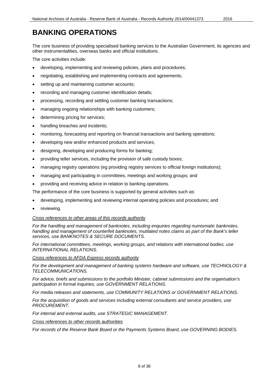# <span id="page-7-0"></span>**BANKING OPERATIONS**

The core business of providing specialised banking services to the Australian Government, its agencies and other instrumentalities, overseas banks and official institutions.

The core activities include:

- developing, implementing and reviewing policies, plans and procedures;
- negotiating, establishing and implementing contracts and agreements;
- setting up and maintaining customer accounts;
- recording and managing customer identification details;
- processing, recording and settling customer banking transactions;
- managing ongoing relationships with banking customers;
- determining pricing for services;
- handling breaches and incidents:
- monitoring, forecasting and reporting on financial transactions and banking operations;
- developing new and/or enhanced products and services;
- designing, developing and producing forms for banking;
- providing teller services, including the provision of safe custody boxes;
- managing registry operations (eg providing registry services to official foreign institutions);
- managing and participating in committees, meetings and working groups; and
- providing and receiving advice in relation to banking operations.

The performance of the core business is supported by general activities such as:

- developing, implementing and reviewing internal operating policies and procedures; and
- reviewing.

### *Cross references to other areas of this records authority*

*For the handling and management of banknotes, including enquiries regarding numismatic banknotes, handling and management of counterfeit banknotes, mutilated notes claims as part of the Bank's teller services, use BANKNOTES & SECURE DOCUMENTS.*

*For international committees, meetings, working groups, and relations with international bodies, use INTERNATIONAL RELATIONS.*

*Cross references to AFDA Express records authority*

*For the development and management of banking systems hardware and software, use TECHNOLOGY & TELECOMMUNICATIONS.*

*For advice, briefs and submissions to the portfolio Minister, cabinet submissions and the organisation's participation in formal inquiries, use GOVERNMENT RELATIONS.*

*For media releases and statements, use COMMUNITY RELATIONS or GOVERNMENT RELATIONS.*

*For the acquisition of goods and services including external consultants and service providers, use PROCUREMENT.*

*For internal and external audits, use STRATEGIC MANAGEMENT.*

*Cross references to other records authorities*

*For records of the Reserve Bank Board or the Payments Systems Board, use GOVERNING BODIES.*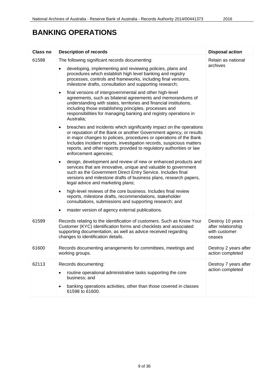# **BANKING OPERATIONS**

| <b>Class no</b> | <b>Description of records</b>                                                                                                                                                                                                                                                                                                                                                                          | <b>Disposal action</b>                                            |
|-----------------|--------------------------------------------------------------------------------------------------------------------------------------------------------------------------------------------------------------------------------------------------------------------------------------------------------------------------------------------------------------------------------------------------------|-------------------------------------------------------------------|
| 61598           | The following significant records documenting:                                                                                                                                                                                                                                                                                                                                                         | Retain as national                                                |
|                 | developing, implementing and reviewing policies, plans and<br>٠<br>procedures which establish high level banking and registry<br>processes, controls and frameworks, including final versions,<br>milestone drafts, consultation and supporting research;                                                                                                                                              | archives                                                          |
|                 | final versions of intergovernmental and other high-level<br>٠<br>agreements, such as bilateral agreements and memorandums of<br>understanding with states, territories and financial institutions,<br>including those establishing principles, processes and<br>responsibilities for managing banking and registry operations in<br>Australia;                                                         |                                                                   |
|                 | breaches and incidents which significantly impact on the operations<br>$\bullet$<br>or reputation of the Bank or another Government agency, or results<br>in major changes to policies, procedures or operations of the Bank.<br>Includes incident reports, investigation records, suspicious matters<br>reports, and other reports provided to regulatory authorities or law<br>enforcement agencies; |                                                                   |
|                 | design, development and review of new or enhanced products and<br>$\bullet$<br>services that are innovative, unique and valuable to government<br>such as the Government Direct Entry Service. Includes final<br>versions and milestone drafts of business plans, research papers,<br>legal advice and marketing plans;                                                                                |                                                                   |
|                 | high-level reviews of the core business. Includes final review<br>$\bullet$<br>reports, milestone drafts, recommendations, stakeholder<br>consultations, submissions and supporting research; and                                                                                                                                                                                                      |                                                                   |
|                 | master version of agency external publications.<br>٠                                                                                                                                                                                                                                                                                                                                                   |                                                                   |
| 61599           | Records relating to the identification of customers. Such as Know Your<br>Customer (KYC) identification forms and checklists and associated<br>supporting documentation, as well as advice received regarding<br>changes to identification details.                                                                                                                                                    | Destroy 10 years<br>after relationship<br>with customer<br>ceases |
| 61600           | Records documenting arrangements for committees, meetings and<br>working groups.                                                                                                                                                                                                                                                                                                                       | Destroy 2 years after<br>action completed                         |
| 62113           | Records documenting:<br>routine operational administrative tasks supporting the core<br>business; and<br>banking operations activities, other than those covered in classes<br>61598 to 61600.                                                                                                                                                                                                         | Destroy 7 years after<br>action completed                         |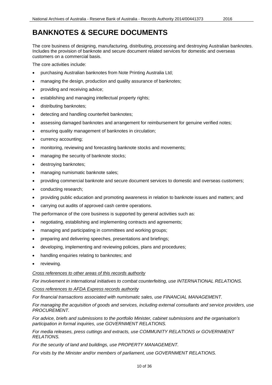<span id="page-9-0"></span>The core business of designing, manufacturing, distributing, processing and destroying Australian banknotes. Includes the provision of banknote and secure document related services for domestic and overseas customers on a commercial basis.

The core activities include:

- purchasing Australian banknotes from Note Printing Australia Ltd;
- managing the design, production and quality assurance of banknotes;
- providing and receiving advice;
- establishing and managing intellectual property rights;
- distributing banknotes;
- detecting and handling counterfeit banknotes;
- assessing damaged banknotes and arrangement for reimbursement for genuine verified notes;
- ensuring quality management of banknotes in circulation;
- currency accounting;
- monitoring, reviewing and forecasting banknote stocks and movements;
- managing the security of banknote stocks;
- destroying banknotes;
- managing numismatic banknote sales;
- providing commercial banknote and secure document services to domestic and overseas customers;
- conducting research;
- providing public education and promoting awareness in relation to banknote issues and matters; and
- carrying out audits of approved cash centre operations.

The performance of the core business is supported by general activities such as:

- negotiating, establishing and implementing contracts and agreements;
- managing and participating in committees and working groups;
- preparing and delivering speeches, presentations and briefings;
- developing, implementing and reviewing policies, plans and procedures;
- handling enquiries relating to banknotes; and
- reviewing.

### *Cross references to other areas of this records authority*

*For involvement in international initiatives to combat counterfeiting, use INTERNATIONAL RELATIONS.*

*Cross references to AFDA Express records authority*

*For financial transactions associated with numismatic sales, use FINANCIAL MANAGEMENT.*

*For managing the acquisition of goods and services, including external consultants and service providers, use PROCUREMENT.*

*For advice, briefs and submissions to the portfolio Minister, cabinet submissions and the organisation's participation in formal inquiries, use GOVERNMENT RELATIONS.*

*For media releases, press cuttings and extracts, use COMMUNITY RELATIONS or GOVERNMENT RELATIONS.*

*For the security of land and buildings, use PROPERTY MANAGEMENT.*

*For visits by the Minister and/or members of parliament, use GOVERNMENT RELATIONS.*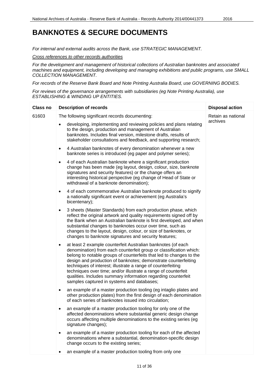*For internal and external audits across the Bank, use STRATEGIC MANAGEMENT.*

*Cross references to other records authorities*

*For the development and management of historical collections of Australian banknotes and associated machines and equipment, including developing and managing exhibitions and public programs, use SMALL COLLECTION MANAGEMENT.*

*For records of the Reserve Bank Board and Note Printing Australia Board, use GOVERNING BODIES.*

*For reviews of the governance arrangements with subsidiaries (eg Note Printing Australia), use ESTABLISHING & WINDING UP ENTITIES.*

| Class no | <b>Description of records</b>                                                                                                                                                                                                                                                                                                                                                                                                                                                                                                             | <b>Disposal action</b> |
|----------|-------------------------------------------------------------------------------------------------------------------------------------------------------------------------------------------------------------------------------------------------------------------------------------------------------------------------------------------------------------------------------------------------------------------------------------------------------------------------------------------------------------------------------------------|------------------------|
| 61603    | The following significant records documenting:                                                                                                                                                                                                                                                                                                                                                                                                                                                                                            | Retain as national     |
|          | developing, implementing and reviewing policies and plans relating<br>to the design, production and management of Australian<br>banknotes. Includes final version, milestone drafts, results of<br>stakeholder consultations and feedback, and supporting research;                                                                                                                                                                                                                                                                       | archives               |
|          | 4 Australian banknotes of every denomination whenever a new<br>$\bullet$<br>banknote series is introduced (eg paper and polymer series);                                                                                                                                                                                                                                                                                                                                                                                                  |                        |
|          | 4 of each Australian banknote where a significant production<br>$\bullet$<br>change has been made (eg layout, design, colour, size, banknote<br>signatures and security features) or the change offers an<br>interesting historical perspective (eg change of Head of State or<br>withdrawal of a banknote denomination);                                                                                                                                                                                                                 |                        |
|          | 4 of each commemorative Australian banknote produced to signify<br>$\bullet$<br>a nationally significant event or achievement (eg Australia's<br>bicentenary);                                                                                                                                                                                                                                                                                                                                                                            |                        |
|          | 3 sheets (Master Standards) from each production phase, which<br>$\bullet$<br>reflect the original artwork and quality requirements signed off by<br>the Bank when an Australian banknote is first developed, and when<br>substantial changes to banknotes occur over time, such as<br>changes to the layout, design, colour, or size of banknotes, or<br>changes to banknote signatures and security features;                                                                                                                           |                        |
|          | at least 2 example counterfeit Australian banknotes (of each<br>$\bullet$<br>denomination) from each counterfeit group or classification which:<br>belong to notable groups of counterfeits that led to changes to the<br>design and production of banknotes; demonstrate counterfeiting<br>techniques of interest; illustrate a range of counterfeiting<br>techniques over time; and/or illustrate a range of counterfeit<br>qualities. Includes summary information regarding counterfeit<br>samples captured in systems and databases; |                        |
|          | an example of a master production tooling (eg intaglio plates and<br>٠<br>other production plates) from the first design of each denomination<br>of each series of banknotes issued into circulation;                                                                                                                                                                                                                                                                                                                                     |                        |
|          | an example of a master production tooling for only one of the<br>affected denominations where substantial generic design change<br>occurs affecting multiple denominations to the existing series (eg<br>signature changes);                                                                                                                                                                                                                                                                                                              |                        |
|          | an example of a master production tooling for each of the affected<br>٠<br>denominations where a substantial, denomination-specific design<br>change occurs to the existing series;                                                                                                                                                                                                                                                                                                                                                       |                        |
|          | an example of a master production tooling from only one                                                                                                                                                                                                                                                                                                                                                                                                                                                                                   |                        |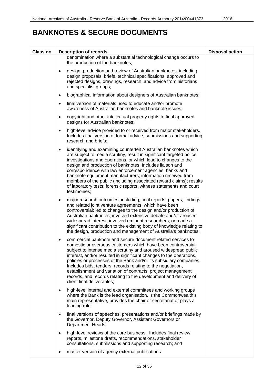| <b>Class no</b> | <b>Description of records</b>                                                                                                                                                                                                                                                                                                                                                                                                                                                                                                                                                               | <b>Disposal action</b> |
|-----------------|---------------------------------------------------------------------------------------------------------------------------------------------------------------------------------------------------------------------------------------------------------------------------------------------------------------------------------------------------------------------------------------------------------------------------------------------------------------------------------------------------------------------------------------------------------------------------------------------|------------------------|
|                 | denomination where a substantial technological change occurs to<br>the production of the banknotes;                                                                                                                                                                                                                                                                                                                                                                                                                                                                                         |                        |
|                 | design, production and review of Australian banknotes, including<br>$\bullet$<br>design proposals, briefs, technical specifications, approved and<br>rejected designs, drawings, research, and advice from historians<br>and specialist groups;                                                                                                                                                                                                                                                                                                                                             |                        |
|                 | biographical information about designers of Australian banknotes;<br>$\bullet$                                                                                                                                                                                                                                                                                                                                                                                                                                                                                                              |                        |
|                 | final version of materials used to educate and/or promote<br>$\bullet$<br>awareness of Australian banknotes and banknote issues;                                                                                                                                                                                                                                                                                                                                                                                                                                                            |                        |
|                 | copyright and other intellectual property rights to final approved<br>$\bullet$<br>designs for Australian banknotes;                                                                                                                                                                                                                                                                                                                                                                                                                                                                        |                        |
|                 | high-level advice provided to or received from major stakeholders.<br>$\bullet$<br>Includes final version of formal advice, submissions and supporting<br>research and briefs;                                                                                                                                                                                                                                                                                                                                                                                                              |                        |
|                 | identifying and examining counterfeit Australian banknotes which<br>$\bullet$<br>are subject to media scrutiny, result in significant targeted police<br>investigations and operations, or which lead to changes to the<br>design and production of banknotes. Includes liaison and<br>correspondence with law enforcement agencies, banks and<br>banknote equipment manufacturers; information received from<br>members of the public (including associated reward claims); results<br>of laboratory tests; forensic reports; witness statements and court<br>testimonies;                 |                        |
|                 | major research outcomes, including, final reports, papers, findings<br>٠<br>and related joint venture agreements, which have been<br>controversial; led to changes to the design and/or production of<br>Australian banknotes; involved extensive debate and/or aroused<br>widespread interest; involved eminent researchers; or made a<br>significant contribution to the existing body of knowledge relating to<br>the design, production and management of Australia's banknotes;                                                                                                        |                        |
|                 | commercial banknote and secure document related services to<br>$\bullet$<br>domestic or overseas customers which have been controversial,<br>subject to intense media scrutiny and aroused widespread public<br>interest, and/or resulted in significant changes to the operations,<br>policies or processes of the Bank and/or its subsidiary companies.<br>Includes bids, tenders, records relating to the negotiation,<br>establishment and variation of contracts, project management<br>records, and records relating to the development and delivery of<br>client final deliverables; |                        |
|                 | high-level internal and external committees and working groups<br>$\bullet$<br>where the Bank is the lead organisation, is the Commonwealth's<br>main representative, provides the chair or secretariat or plays a<br>leading role;                                                                                                                                                                                                                                                                                                                                                         |                        |
|                 | final versions of speeches, presentations and/or briefings made by<br>$\bullet$<br>the Governor, Deputy Governor, Assistant Governors or<br><b>Department Heads;</b>                                                                                                                                                                                                                                                                                                                                                                                                                        |                        |
|                 | high-level reviews of the core business. Includes final review<br>$\bullet$<br>reports, milestone drafts, recommendations, stakeholder<br>consultations, submissions and supporting research; and                                                                                                                                                                                                                                                                                                                                                                                           |                        |
|                 | master version of agency external publications.                                                                                                                                                                                                                                                                                                                                                                                                                                                                                                                                             |                        |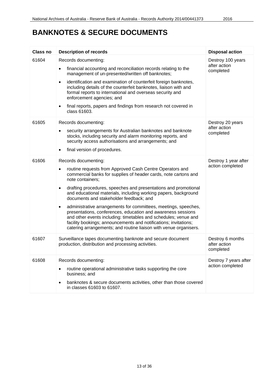| <b>Class no</b> | <b>Description of records</b>                                                                                                                                                                                                                                                                                                                                                                                                                                                                                                                                                                                                                                                                                                          | <b>Disposal action</b>                         |
|-----------------|----------------------------------------------------------------------------------------------------------------------------------------------------------------------------------------------------------------------------------------------------------------------------------------------------------------------------------------------------------------------------------------------------------------------------------------------------------------------------------------------------------------------------------------------------------------------------------------------------------------------------------------------------------------------------------------------------------------------------------------|------------------------------------------------|
| 61604           | Records documenting:<br>financial accounting and reconciliation records relating to the<br>management of un-presented/written off banknotes;<br>identification and examination of counterfeit foreign banknotes,<br>$\bullet$<br>including details of the counterfeit banknotes, liaison with and<br>formal reports to international and overseas security and<br>enforcement agencies; and<br>final reports, papers and findings from research not covered in<br>$\bullet$<br>class 61603.                                                                                                                                                                                                                                            | Destroy 100 years<br>after action<br>completed |
| 61605           | Records documenting:<br>security arrangements for Australian banknotes and banknote<br>$\bullet$<br>stocks, including security and alarm monitoring reports, and<br>security access authorisations and arrangements; and<br>final version of procedures.<br>٠                                                                                                                                                                                                                                                                                                                                                                                                                                                                          | Destroy 20 years<br>after action<br>completed  |
| 61606           | Records documenting:<br>routine requests from Approved Cash Centre Operators and<br>$\bullet$<br>commercial banks for supplies of header cards, note cartons and<br>note containers:<br>drafting procedures, speeches and presentations and promotional<br>$\bullet$<br>and educational materials, including working papers, background<br>documents and stakeholder feedback; and<br>administrative arrangements for committees, meetings, speeches,<br>٠<br>presentations, conferences, education and awareness sessions<br>and other events including: timetables and schedules; venue and<br>facility bookings; announcements and notifications; invitations;<br>catering arrangements; and routine liaison with venue organisers. | Destroy 1 year after<br>action completed       |
| 61607           | Surveillance tapes documenting banknote and secure document<br>production, distribution and processing activities.                                                                                                                                                                                                                                                                                                                                                                                                                                                                                                                                                                                                                     | Destroy 6 months<br>after action<br>completed  |
| 61608           | Records documenting:<br>routine operational administrative tasks supporting the core<br>business; and<br>banknotes & secure documents activities, other than those covered<br>$\bullet$<br>in classes 61603 to 61607.                                                                                                                                                                                                                                                                                                                                                                                                                                                                                                                  | Destroy 7 years after<br>action completed      |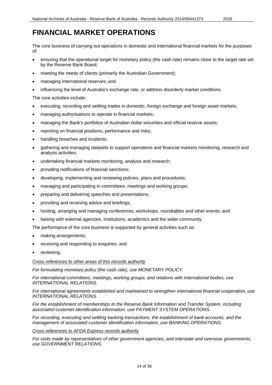<span id="page-13-0"></span>The core business of carrying out operations in domestic and international financial markets for the purposes of:

- ensuring that the operational target for monetary policy (the cash rate) remains close to the target rate set by the Reserve Bank Board;
- meeting the needs of clients (primarily the Australian Government);
- managing international reserves; and
- influencing the level of Australia's exchange rate, or address disorderly market conditions.

The core activities include:

- executing, recording and settling trades in domestic, foreign exchange and foreign asset markets;
- managing authorisations to operate in financial markets;
- managing the Bank's portfolios of Australian dollar securities and official reserve assets;
- reporting on financial positions, performance and risks;
- handling breaches and incidents;
- gathering and managing datasets to support operations and financial markets monitoring, research and analysis activities;
- undertaking financial markets monitoring, analysis and research;
- providing notifications of financial sanctions;
- developing, implementing and reviewing policies, plans and procedures;
- managing and participating in committees, meetings and working groups;
- preparing and delivering speeches and presentations;
- providing and receiving advice and briefings;
- hosting, arranging and managing conferences, workshops, roundtables and other events; and
- liaising with external agencies, institutions, academics and the wider community.

The performance of the core business is supported by general activities such as:

- making arrangements;
- receiving and responding to enquiries; and
- reviewing.

### *Cross references to other areas of this records authority*

*For formulating monetary policy (the cash rate), use MONETARY POLICY.*

*For international committees, meetings, working groups, and relations with international bodies, use INTERNATIONAL RELATIONS.*

*For international agreements established and maintained to strengthen international financial cooperation, use INTERNATIONAL RELATIONS.*

*For the establishment of memberships to the Reserve Bank Information and Transfer System, including associated customer identification information, use PAYMENT SYSTEM OPERATIONS.*

*For recording, executing and settling banking transactions, the establishment of bank accounts, and the management of associated customer identification information, use BANKING OPERATIONS.*

#### *Cross references to AFDA Express records authority*

*For visits made by representatives of other government agencies, and interstate and overseas governments, use GOVERNMENT RELATIONS.*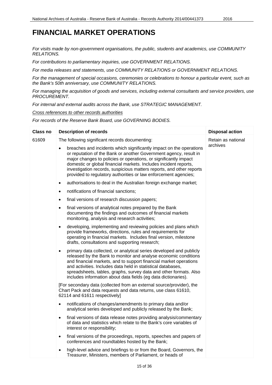*For visits made by non-government organisations, the public, students and academics, use COMMUNITY RELATIONS.*

*For contributions to parliamentary inquiries, use GOVERNMENT RELATIONS.*

*For media releases and statements, use COMMUNITY RELATIONS or GOVERNMENT RELATIONS.*

*For the management of special occasions, ceremonies or celebrations to honour a particular event, such as the Bank's 50th anniversary, use COMMUNITY RELATIONS.*

*For managing the acquisition of goods and services, including external consultants and service providers, use PROCUREMENT.*

*For internal and external audits across the Bank, use STRATEGIC MANAGEMENT.*

*Cross references to other records authorities*

*For records of the Reserve Bank Board, use GOVERNING BODIES.*

| <b>Class no</b> | <b>Description of records</b>                                                                                                                                                                                                                                                                                                                                                                                                            | <b>Disposal action</b> |
|-----------------|------------------------------------------------------------------------------------------------------------------------------------------------------------------------------------------------------------------------------------------------------------------------------------------------------------------------------------------------------------------------------------------------------------------------------------------|------------------------|
| 61609           | The following significant records documenting:                                                                                                                                                                                                                                                                                                                                                                                           | Retain as national     |
|                 | breaches and incidents which significantly impact on the operations<br>$\bullet$<br>or reputation of the Bank or another Government agency, result in<br>major changes to policies or operations, or significantly impact<br>domestic or global financial markets. Includes incident reports,<br>investigation records, suspicious matters reports, and other reports<br>provided to regulatory authorities or law enforcement agencies; | archives               |
|                 | authorisations to deal in the Australian foreign exchange market;<br>$\bullet$                                                                                                                                                                                                                                                                                                                                                           |                        |
|                 | notifications of financial sanctions;<br>$\bullet$                                                                                                                                                                                                                                                                                                                                                                                       |                        |
|                 | final versions of research discussion papers;<br>$\bullet$                                                                                                                                                                                                                                                                                                                                                                               |                        |
|                 | final versions of analytical notes prepared by the Bank<br>$\bullet$<br>documenting the findings and outcomes of financial markets<br>monitoring, analysis and research activities;                                                                                                                                                                                                                                                      |                        |
|                 | developing, implementing and reviewing policies and plans which<br>$\bullet$<br>provide frameworks, directions, rules and requirements for<br>operating in financial markets. Includes final version, milestone<br>drafts, consultations and supporting research;                                                                                                                                                                        |                        |
|                 | primary data collected, or analytical series developed and publicly<br>released by the Bank to monitor and analyse economic conditions<br>and financial markets, and to support financial market operations<br>and activities. Includes data held in statistical databases,<br>spreadsheets, tables, graphs, survey data and other formats. Also<br>includes information about data fields (eg data dictionaries).                       |                        |
|                 | [For secondary data (collected from an external source/provider), the<br>Chart Pack and data requests and data returns, use class 61610,<br>62114 and 61611 respectively]                                                                                                                                                                                                                                                                |                        |
|                 | notifications of changes/amendments to primary data and/or<br>analytical series developed and publicly released by the Bank;                                                                                                                                                                                                                                                                                                             |                        |
|                 | final versions of data release notes providing analysis/commentary<br>$\bullet$<br>of data and statistics which relate to the Bank's core variables of<br>interest or responsibility;                                                                                                                                                                                                                                                    |                        |
|                 | final versions of the proceedings, reports, speeches and papers of<br>$\bullet$<br>conferences and roundtables hosted by the Bank;                                                                                                                                                                                                                                                                                                       |                        |
|                 | high-level advice and briefings to or from the Board, Governors, the<br>Treasurer, Ministers, members of Parliament, or heads of                                                                                                                                                                                                                                                                                                         |                        |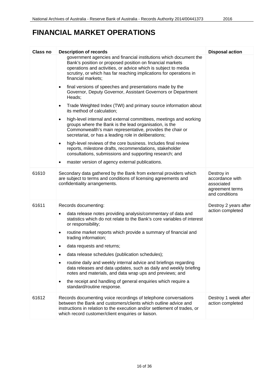| <b>Class no</b> | <b>Description of records</b>                                                                                                                                                                                                                                                                | <b>Disposal action</b>                                             |
|-----------------|----------------------------------------------------------------------------------------------------------------------------------------------------------------------------------------------------------------------------------------------------------------------------------------------|--------------------------------------------------------------------|
|                 | government agencies and financial institutions which document the<br>Bank's position or proposed position on financial markets<br>operations and activities, or advice which is subject to media<br>scrutiny, or which has far reaching implications for operations in<br>financial markets; |                                                                    |
|                 | final versions of speeches and presentations made by the<br>$\bullet$<br>Governor, Deputy Governor, Assistant Governors or Department<br>Heads;                                                                                                                                              |                                                                    |
|                 | Trade Weighted Index (TWI) and primary source information about<br>$\bullet$<br>its method of calculation;                                                                                                                                                                                   |                                                                    |
|                 | high-level internal and external committees, meetings and working<br>$\bullet$<br>groups where the Bank is the lead organisation, is the<br>Commonwealth's main representative, provides the chair or<br>secretariat, or has a leading role in deliberations;                                |                                                                    |
|                 | high-level reviews of the core business. Includes final review<br>$\bullet$<br>reports, milestone drafts, recommendations, stakeholder<br>consultations, submissions and supporting research; and<br>master version of agency external publications.                                         |                                                                    |
| 61610           | Secondary data gathered by the Bank from external providers which                                                                                                                                                                                                                            | Destroy in                                                         |
|                 | are subject to terms and conditions of licensing agreements and<br>confidentiality arrangements.                                                                                                                                                                                             | accordance with<br>associated<br>agreement terms<br>and conditions |
| 61611           | Records documenting:                                                                                                                                                                                                                                                                         | Destroy 2 years after                                              |
|                 | data release notes providing analysis/commentary of data and<br>$\bullet$<br>statistics which do not relate to the Bank's core variables of interest<br>or responsibility;                                                                                                                   | action completed                                                   |
|                 | routine market reports which provide a summary of financial and<br>$\bullet$<br>trading information;                                                                                                                                                                                         |                                                                    |
|                 | data requests and returns;                                                                                                                                                                                                                                                                   |                                                                    |
|                 | data release schedules (publication schedules);                                                                                                                                                                                                                                              |                                                                    |
|                 | routine daily and weekly internal advice and briefings regarding<br>data releases and data updates, such as daily and weekly briefing<br>notes and materials, and data wrap ups and previews; and                                                                                            |                                                                    |
|                 | the receipt and handling of general enquiries which require a<br>standard/routine response.                                                                                                                                                                                                  |                                                                    |
| 61612           | Records documenting voice recordings of telephone conversations<br>between the Bank and customers/clients which outline advice and<br>instructions in relation to the execution and/or settlement of trades, or<br>which record customer/client enquiries or liaison.                        | Destroy 1 week after<br>action completed                           |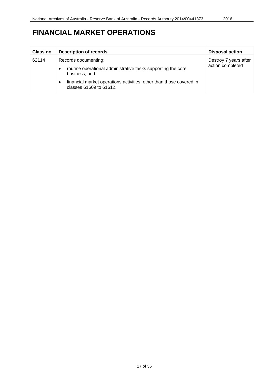| <b>Class no</b> | <b>Description of records</b>                                                                               | <b>Disposal action</b> |
|-----------------|-------------------------------------------------------------------------------------------------------------|------------------------|
| 62114           | Records documenting:                                                                                        | Destroy 7 years after  |
| $\bullet$       | routine operational administrative tasks supporting the core<br>business; and                               | action completed       |
|                 | financial market operations activities, other than those covered in<br>$\bullet$<br>classes 61609 to 61612. |                        |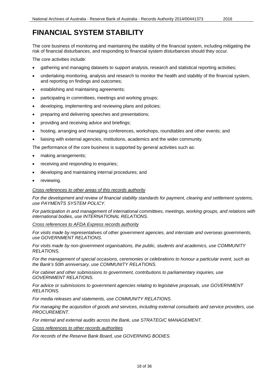# <span id="page-17-0"></span>**FINANCIAL SYSTEM STABILITY**

The core business of monitoring and maintaining the stability of the financial system, including mitigating the risk of financial disturbances, and responding to financial system disturbances should they occur.

The core activities include:

- gathering and managing datasets to support analysis, research and statistical reporting activities;
- undertaking monitoring, analysis and research to monitor the health and stability of the financial system, and reporting on findings and outcomes;
- establishing and maintaining agreements;
- participating in committees, meetings and working groups;
- developing, implementing and reviewing plans and policies;
- preparing and delivering speeches and presentations;
- providing and receiving advice and briefings;
- hosting, arranging and managing conferences, workshops, roundtables and other events; and
- liaising with external agencies, institutions, academics and the wider community.

The performance of the core business is supported by general activities such as:

- making arrangements;
- receiving and responding to enquiries;
- developing and maintaining internal procedures; and
- reviewing.

### *Cross references to other areas of this records authority*

*For the development and review of financial stability standards for payment, clearing and settlement systems, use PAYMENTS SYSTEM POLICY.*

*For participation in and management of international committees, meetings, working groups, and relations with international bodies, use INTERNATIONAL RELATIONS.*

#### *Cross references to AFDA Express records authority*

*For visits made by representatives of other government agencies, and interstate and overseas governments, use GOVERNMENT RELATIONS.*

*For visits made by non-government organisations, the public, students and academics, use COMMUNITY RELATIONS.*

*For the management of special occasions, ceremonies or celebrations to honour a particular event, such as the Bank's 50th anniversary, use COMMUNITY RELATIONS.*

*For cabinet and other submissions to government, contributions to parliamentary inquiries, use GOVERNMENT RELATIONS.*

*For advice or submissions to government agencies relating to legislative proposals, use GOVERNMENT RELATIONS.*

*For media releases and statements, use COMMUNITY RELATIONS.*

*For managing the acquisition of goods and services, including external consultants and service providers, use PROCUREMENT.*

*For internal and external audits across the Bank, use STRATEGIC MANAGEMENT.*

*Cross references to other records authorities*

*For records of the Reserve Bank Board, use GOVERNING BODIES.*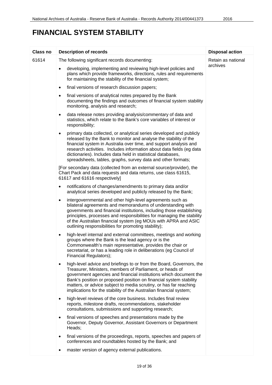# **FINANCIAL SYSTEM STABILITY**

| <b>Class no</b> | <b>Description of records</b>                                                                                                                                                                                                                                                                                                                                                                                                       | <b>Disposal action</b>         |
|-----------------|-------------------------------------------------------------------------------------------------------------------------------------------------------------------------------------------------------------------------------------------------------------------------------------------------------------------------------------------------------------------------------------------------------------------------------------|--------------------------------|
| 61614           | The following significant records documenting:                                                                                                                                                                                                                                                                                                                                                                                      | Retain as national<br>archives |
|                 | developing, implementing and reviewing high-level policies and<br>plans which provide frameworks, directions, rules and requirements<br>for maintaining the stability of the financial system;                                                                                                                                                                                                                                      |                                |
|                 | final versions of research discussion papers;<br>$\bullet$                                                                                                                                                                                                                                                                                                                                                                          |                                |
|                 | final versions of analytical notes prepared by the Bank<br>$\bullet$<br>documenting the findings and outcomes of financial system stability<br>monitoring, analysis and research;                                                                                                                                                                                                                                                   |                                |
|                 | data release notes providing analysis/commentary of data and<br>$\bullet$<br>statistics, which relate to the Bank's core variables of interest or<br>responsibility;                                                                                                                                                                                                                                                                |                                |
|                 | primary data collected, or analytical series developed and publicly<br>$\bullet$<br>released by the Bank to monitor and analyse the stability of the<br>financial system in Australia over time, and support analysis and<br>research activities. Includes information about data fields (eg data<br>dictionaries). Includes data held in statistical databases,<br>spreadsheets, tables, graphs, survey data and other formats;    |                                |
|                 | [For secondary data (collected from an external source/provider), the<br>Chart Pack and data requests and data returns, use class 61615,<br>61617 and 61616 respectively]                                                                                                                                                                                                                                                           |                                |
|                 | notifications of changes/amendments to primary data and/or<br>$\bullet$<br>analytical series developed and publicly released by the Bank;                                                                                                                                                                                                                                                                                           |                                |
|                 | intergovernmental and other high-level agreements such as<br>$\bullet$<br>bilateral agreements and memorandums of understanding with<br>governments and financial institutions, including those establishing<br>principles, processes and responsibilities for managing the stability<br>of the Australian financial system (eg MOUs with APRA and ASIC<br>outlining responsibilities for promoting stability);                     |                                |
|                 | high-level internal and external committees, meetings and working<br>٠<br>groups where the Bank is the lead agency or is the<br>Commonwealth's main representative, provides the chair or<br>secretariat, or has a leading role in deliberations (eg Council of<br>Financial Regulators);                                                                                                                                           |                                |
|                 | high-level advice and briefings to or from the Board, Governors, the<br>$\bullet$<br>Treasurer, Ministers, members of Parliament, or heads of<br>government agencies and financial institutions which document the<br>Bank's position or proposed position on financial system stability<br>matters, or advice subject to media scrutiny, or has far reaching<br>implications for the stability of the Australian financial system; |                                |
|                 | high-level reviews of the core business. Includes final review<br>$\bullet$<br>reports, milestone drafts, recommendations, stakeholder<br>consultations, submissions and supporting research;                                                                                                                                                                                                                                       |                                |
|                 | final versions of speeches and presentations made by the<br>$\bullet$<br>Governor, Deputy Governor, Assistant Governors or Department<br>Heads;                                                                                                                                                                                                                                                                                     |                                |
|                 | final versions of the proceedings, reports, speeches and papers of<br>٠<br>conferences and roundtables hosted by the Bank; and                                                                                                                                                                                                                                                                                                      |                                |
|                 | master version of agency external publications.                                                                                                                                                                                                                                                                                                                                                                                     |                                |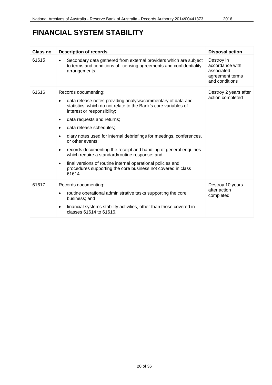# **FINANCIAL SYSTEM STABILITY**

| Class no | <b>Description of records</b>                                                                                                                                                                                                                                                                                                                                                                                                                                                                                                                                                                                                                           | <b>Disposal action</b>                                                           |
|----------|---------------------------------------------------------------------------------------------------------------------------------------------------------------------------------------------------------------------------------------------------------------------------------------------------------------------------------------------------------------------------------------------------------------------------------------------------------------------------------------------------------------------------------------------------------------------------------------------------------------------------------------------------------|----------------------------------------------------------------------------------|
| 61615    | Secondary data gathered from external providers which are subject<br>to terms and conditions of licensing agreements and confidentiality<br>arrangements.                                                                                                                                                                                                                                                                                                                                                                                                                                                                                               | Destroy in<br>accordance with<br>associated<br>agreement terms<br>and conditions |
| 61616    | Records documenting:<br>data release notes providing analysis/commentary of data and<br>statistics, which do not relate to the Bank's core variables of<br>interest or responsibility;<br>data requests and returns;<br>٠<br>data release schedules;<br>$\bullet$<br>diary notes used for internal debriefings for meetings, conferences,<br>or other events;<br>records documenting the receipt and handling of general enquiries<br>$\bullet$<br>which require a standard/routine response; and<br>final versions of routine internal operational policies and<br>$\bullet$<br>procedures supporting the core business not covered in class<br>61614. | Destroy 2 years after<br>action completed                                        |
| 61617    | Records documenting:<br>routine operational administrative tasks supporting the core<br>٠<br>business; and<br>financial systems stability activities, other than those covered in<br>٠<br>classes 61614 to 61616.                                                                                                                                                                                                                                                                                                                                                                                                                                       | Destroy 10 years<br>after action<br>completed                                    |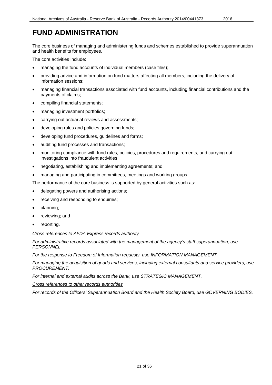<span id="page-20-0"></span>The core business of managing and administering funds and schemes established to provide superannuation and health benefits for employees.

The core activities include:

- managing the fund accounts of individual members (case files);
- providing advice and information on fund matters affecting all members, including the delivery of information sessions;
- managing financial transactions associated with fund accounts, including financial contributions and the payments of claims;
- compiling financial statements;
- managing investment portfolios;
- carrying out actuarial reviews and assessments;
- developing rules and policies governing funds;
- developing fund procedures, guidelines and forms;
- auditing fund processes and transactions;
- monitoring compliance with fund rules, policies, procedures and requirements, and carrying out investigations into fraudulent activities;
- negotiating, establishing and implementing agreements; and
- managing and participating in committees, meetings and working groups.

The performance of the core business is supported by general activities such as:

- delegating powers and authorising actions;
- receiving and responding to enquiries;
- planning;
- reviewing; and
- reporting.

### *Cross references to AFDA Express records authority*

*For administrative records associated with the management of the agency's staff superannuation, use PERSONNEL.*

*For the response to Freedom of Information requests, use INFORMATION MANAGEMENT.*

*For managing the acquisition of goods and services, including external consultants and service providers, use PROCUREMENT.*

*For internal and external audits across the Bank, use STRATEGIC MANAGEMENT.*

*Cross references to other records authorities*

*For records of the Officers' Superannuation Board and the Health Society Board, use GOVERNING BODIES.*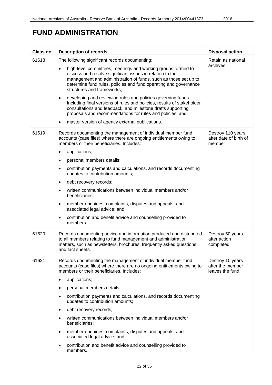# **FUND ADMINISTRATION**

| <b>Class no</b> | <b>Description of records</b>                                                                                                                                                                                                                                                                                                           | <b>Disposal action</b>                                  |
|-----------------|-----------------------------------------------------------------------------------------------------------------------------------------------------------------------------------------------------------------------------------------------------------------------------------------------------------------------------------------|---------------------------------------------------------|
| 61618           | The following significant records documenting:                                                                                                                                                                                                                                                                                          | Retain as national                                      |
|                 | high-level committees, meetings and working groups formed to<br>discuss and resolve significant issues in relation to the<br>management and administration of funds, such as those set up to<br>determine fund rules, policies and fund operating and governance<br>structures and frameworks;                                          | archives                                                |
|                 | developing and reviewing rules and policies governing funds.<br>$\bullet$<br>Including final versions of rules and policies, results of stakeholder<br>consultations and feedback, and milestone drafts supporting<br>proposals and recommendations for rules and policies; and<br>master version of agency external publications.<br>٠ |                                                         |
|                 |                                                                                                                                                                                                                                                                                                                                         |                                                         |
| 61619           | Records documenting the management of individual member fund<br>accounts (case files) where there are ongoing entitlements owing to<br>members or their beneficiaries. Includes:                                                                                                                                                        | Destroy 110 years<br>after date of birth of<br>member   |
|                 | applications;<br>٠                                                                                                                                                                                                                                                                                                                      |                                                         |
|                 | personal members details;<br>٠                                                                                                                                                                                                                                                                                                          |                                                         |
|                 | contribution payments and calculations, and records documenting<br>٠<br>updates to contribution amounts;                                                                                                                                                                                                                                |                                                         |
|                 | debt recovery records;<br>$\bullet$                                                                                                                                                                                                                                                                                                     |                                                         |
|                 | written communications between individual members and/or<br>$\bullet$<br>beneficiaries;                                                                                                                                                                                                                                                 |                                                         |
|                 | member enquiries, complaints, disputes and appeals, and<br>٠<br>associated legal advice; and                                                                                                                                                                                                                                            |                                                         |
|                 | contribution and benefit advice and counselling provided to<br>٠<br>members.                                                                                                                                                                                                                                                            |                                                         |
| 61620           | Records documenting advice and information produced and distributed<br>to all members relating to fund management and administration<br>matters, such as newsletters, brochures, frequently asked questions<br>and fact sheets.                                                                                                         | Destroy 50 years<br>after action<br>completed           |
| 61621           | Records documenting the management of individual member fund<br>accounts (case files) where there are no ongoing entitlements owing to<br>members or their beneficiaries. Includes:                                                                                                                                                     | Destroy 10 years<br>after the member<br>leaves the fund |
|                 | applications;                                                                                                                                                                                                                                                                                                                           |                                                         |
|                 | personal members details;<br>٠                                                                                                                                                                                                                                                                                                          |                                                         |
|                 | contribution payments and calculations, and records documenting<br>updates to contribution amounts;                                                                                                                                                                                                                                     |                                                         |
|                 | debt recovery records;<br>٠                                                                                                                                                                                                                                                                                                             |                                                         |
|                 | written communications between individual members and/or<br>beneficiaries;                                                                                                                                                                                                                                                              |                                                         |
|                 | member enquiries, complaints, disputes and appeals, and<br>$\bullet$<br>associated legal advice; and                                                                                                                                                                                                                                    |                                                         |
|                 | contribution and benefit advice and counselling provided to<br>$\bullet$<br>members.                                                                                                                                                                                                                                                    |                                                         |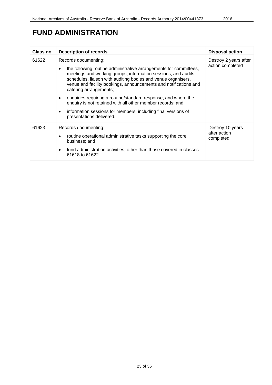# **FUND ADMINISTRATION**

| Class no | <b>Description of records</b>                                                                                                                                                                                                                                                                                                                                                                                                                                                                                                                                                     | <b>Disposal action</b>                        |
|----------|-----------------------------------------------------------------------------------------------------------------------------------------------------------------------------------------------------------------------------------------------------------------------------------------------------------------------------------------------------------------------------------------------------------------------------------------------------------------------------------------------------------------------------------------------------------------------------------|-----------------------------------------------|
| 61622    | Records documenting:<br>the following routine administrative arrangements for committees,<br>$\bullet$<br>meetings and working groups, information sessions, and audits:<br>schedules, liaison with auditing bodies and venue organisers,<br>venue and facility bookings, announcements and notifications and<br>catering arrangements;<br>enquiries requiring a routine/standard response, and where the<br>enquiry is not retained with all other member records; and<br>information sessions for members, including final versions of<br>$\bullet$<br>presentations delivered. | Destroy 2 years after<br>action completed     |
| 61623    | Records documenting:<br>routine operational administrative tasks supporting the core<br>$\bullet$<br>business; and<br>fund administration activities, other than those covered in classes<br>$\bullet$<br>61618 to 61622.                                                                                                                                                                                                                                                                                                                                                         | Destroy 10 years<br>after action<br>completed |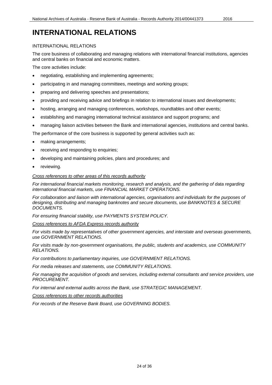### <span id="page-23-0"></span>**INTERNATIONAL RELATIONS**

### INTERNATIONAL RELATIONS

The core business of collaborating and managing relations with international financial institutions, agencies and central banks on financial and economic matters.

The core activities include:

- negotiating, establishing and implementing agreements;
- participating in and managing committees, meetings and working groups;
- preparing and delivering speeches and presentations;
- providing and receiving advice and briefings in relation to international issues and developments;
- hosting, arranging and managing conferences, workshops, roundtables and other events;
- establishing and managing international technical assistance and support programs; and
- managing liaison activities between the Bank and international agencies, institutions and central banks.

The performance of the core business is supported by general activities such as:

- making arrangements;
- receiving and responding to enquiries;
- developing and maintaining policies, plans and procedures; and
- reviewing.

### *Cross references to other areas of this records authority*

*For international financial markets monitoring, research and analysis, and the gathering of data regarding international financial markets, use FINANCIAL MARKET OPERATIONS.*

*For collaboration and liaison with international agencies, organisations and individuals for the purposes of designing, distributing and managing banknotes and secure documents, use BANKNOTES & SECURE DOCUMENTS.*

*For ensuring financial stability, use PAYMENTS SYSTEM POLICY.*

*Cross references to AFDA Express records authority*

*For visits made by representatives of other government agencies, and interstate and overseas governments, use GOVERNMENT RELATIONS.*

*For visits made by non-government organisations, the public, students and academics, use COMMUNITY RELATIONS.*

*For contributions to parliamentary inquiries, use GOVERNMENT RELATIONS.*

*For media releases and statements, use COMMUNITY RELATIONS.*

*For managing the acquisition of goods and services, including external consultants and service providers, use PROCUREMENT.*

*For internal and external audits across the Bank, use STRATEGIC MANAGEMENT.*

*Cross references to other records authorities*

*For records of the Reserve Bank Board, use GOVERNING BODIES.*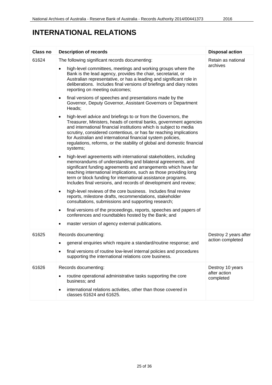# **INTERNATIONAL RELATIONS**

| <b>Class no</b> | <b>Description of records</b>                                                                                                                                                                                                                                                                                                                                                                                                                     | <b>Disposal action</b>         |
|-----------------|---------------------------------------------------------------------------------------------------------------------------------------------------------------------------------------------------------------------------------------------------------------------------------------------------------------------------------------------------------------------------------------------------------------------------------------------------|--------------------------------|
| 61624           | The following significant records documenting:                                                                                                                                                                                                                                                                                                                                                                                                    | Retain as national<br>archives |
|                 | high-level committees, meetings and working groups where the<br>٠<br>Bank is the lead agency, provides the chair, secretariat, or<br>Australian representative, or has a leading and significant role in<br>deliberations. Includes final versions of briefings and diary notes<br>reporting on meeting outcomes;                                                                                                                                 |                                |
|                 | final versions of speeches and presentations made by the<br>$\bullet$<br>Governor, Deputy Governor, Assistant Governors or Department<br>Heads:                                                                                                                                                                                                                                                                                                   |                                |
|                 | high-level advice and briefings to or from the Governors, the<br>$\bullet$<br>Treasurer, Ministers, heads of central banks, government agencies<br>and international financial institutions which is subject to media<br>scrutiny, considered contentious, or has far reaching implications<br>for Australian and international financial system policies,<br>regulations, reforms, or the stability of global and domestic financial<br>systems; |                                |
|                 | high-level agreements with international stakeholders, including<br>$\bullet$<br>memorandums of understanding and bilateral agreements, and<br>significant funding agreements and arrangements which have far<br>reaching international implications, such as those providing long<br>term or block funding for international assistance programs.<br>Includes final versions, and records of development and review;                             |                                |
|                 | high-level reviews of the core business. Includes final review<br>٠<br>reports, milestone drafts, recommendations, stakeholder<br>consultations, submissions and supporting research;                                                                                                                                                                                                                                                             |                                |
|                 | final versions of the proceedings, reports, speeches and papers of<br>$\bullet$<br>conferences and roundtables hosted by the Bank; and<br>master version of agency external publications.<br>٠                                                                                                                                                                                                                                                    |                                |
| 61625           | Records documenting:                                                                                                                                                                                                                                                                                                                                                                                                                              | Destroy 2 years after          |
|                 | general enquiries which require a standard/routine response; and                                                                                                                                                                                                                                                                                                                                                                                  | action completed               |
|                 | final versions of routine low-level internal policies and procedures<br>supporting the international relations core business.                                                                                                                                                                                                                                                                                                                     |                                |
| 61626           | Records documenting:                                                                                                                                                                                                                                                                                                                                                                                                                              | Destroy 10 years               |
|                 | routine operational administrative tasks supporting the core<br>٠<br>business; and                                                                                                                                                                                                                                                                                                                                                                | after action<br>completed      |
|                 | international relations activities, other than those covered in<br>classes 61624 and 61625.                                                                                                                                                                                                                                                                                                                                                       |                                |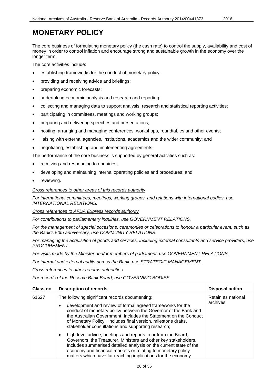# <span id="page-25-0"></span>**MONETARY POLICY**

The core business of formulating monetary policy (the cash rate) to control the supply, availability and cost of money in order to control inflation and encourage strong and sustainable growth in the economy over the longer term.

The core activities include:

- establishing frameworks for the conduct of monetary policy;
- providing and receiving advice and briefings;
- preparing economic forecasts;
- undertaking economic analysis and research and reporting;
- collecting and managing data to support analysis, research and statistical reporting activities;
- participating in committees, meetings and working groups;
- preparing and delivering speeches and presentations;
- hosting, arranging and managing conferences, workshops, roundtables and other events;
- liaising with external agencies, institutions, academics and the wider community; and
- negotiating, establishing and implementing agreements.

The performance of the core business is supported by general activities such as:

- receiving and responding to enquiries;
- developing and maintaining internal operating policies and procedures; and
- reviewing.

### *Cross references to other areas of this records authority*

*For international committees, meetings, working groups, and relations with international bodies, use INTERNATIONAL RELATIONS.*

*Cross references to AFDA Express records authority*

*For contributions to parliamentary inquiries, use GOVERNMENT RELATIONS.*

*For the management of special occasions, ceremonies or celebrations to honour a particular event, such as the Bank's 50th anniversary, use COMMUNITY RELATIONS.*

*For managing the acquisition of goods and services, including external consultants and service providers, use PROCUREMENT.*

*For visits made by the Minister and/or members of parliament, use GOVERNMENT RELATIONS.*

*For internal and external audits across the Bank, use STRATEGIC MANAGEMENT.*

*Cross references to other records authorities*

*For records of the Reserve Bank Board, use GOVERNING BODIES.*

| <b>Class no</b> | <b>Description of records</b>                                                                                                                                                                                                                                                                                                                                              | <b>Disposal action</b>         |
|-----------------|----------------------------------------------------------------------------------------------------------------------------------------------------------------------------------------------------------------------------------------------------------------------------------------------------------------------------------------------------------------------------|--------------------------------|
| 61627           | The following significant records documenting:<br>development and review of formal agreed frameworks for the<br>conduct of monetary policy between the Governor of the Bank and<br>the Australian Government. Includes the Statement on the Conduct<br>of Monetary Policy. Includes final version, milestone drafts,<br>stakeholder consultations and supporting research; | Retain as national<br>archives |
|                 | high-level advice, briefings and reports to or from the Board,<br>$\bullet$<br>Governors, the Treasurer, Ministers and other key stakeholders.<br>Includes summarised detailed analysis on the current state of the<br>economy and financial markets or relating to monetary policy<br>matters which have far reaching implications for the economy                        |                                |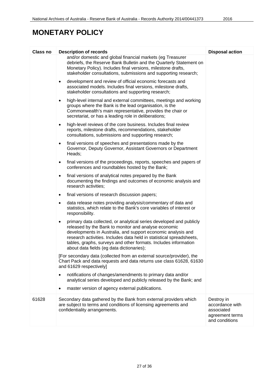# **MONETARY POLICY**

| Class no | <b>Description of records</b>                                                                                                                                                                                                                                                                                                                                                                    | <b>Disposal action</b>                                                           |
|----------|--------------------------------------------------------------------------------------------------------------------------------------------------------------------------------------------------------------------------------------------------------------------------------------------------------------------------------------------------------------------------------------------------|----------------------------------------------------------------------------------|
|          | and/or domestic and global financial markets (eg Treasurer<br>debriefs, the Reserve Bank Bulletin and the Quarterly Statement on<br>Monetary Policy). Includes final versions, milestone drafts,<br>stakeholder consultations, submissions and supporting research;                                                                                                                              |                                                                                  |
|          | development and review of official economic forecasts and<br>$\bullet$<br>associated models. Includes final versions, milestone drafts,<br>stakeholder consultations and supporting research;                                                                                                                                                                                                    |                                                                                  |
|          | high-level internal and external committees, meetings and working<br>$\bullet$<br>groups where the Bank is the lead organisation, is the<br>Commonwealth's main representative, provides the chair or<br>secretariat, or has a leading role in deliberations;                                                                                                                                    |                                                                                  |
|          | high-level reviews of the core business. Includes final review<br>$\bullet$<br>reports, milestone drafts, recommendations, stakeholder<br>consultations, submissions and supporting research;                                                                                                                                                                                                    |                                                                                  |
|          | final versions of speeches and presentations made by the<br>$\bullet$<br>Governor, Deputy Governor, Assistant Governors or Department<br>Heads;                                                                                                                                                                                                                                                  |                                                                                  |
|          | final versions of the proceedings, reports, speeches and papers of<br>$\bullet$<br>conferences and roundtables hosted by the Bank;                                                                                                                                                                                                                                                               |                                                                                  |
|          | final versions of analytical notes prepared by the Bank<br>$\bullet$<br>documenting the findings and outcomes of economic analysis and<br>research activities;                                                                                                                                                                                                                                   |                                                                                  |
|          | final versions of research discussion papers;<br>$\bullet$                                                                                                                                                                                                                                                                                                                                       |                                                                                  |
|          | data release notes providing analysis/commentary of data and<br>$\bullet$<br>statistics, which relate to the Bank's core variables of interest or<br>responsibility.                                                                                                                                                                                                                             |                                                                                  |
|          | primary data collected, or analytical series developed and publicly<br>$\bullet$<br>released by the Bank to monitor and analyse economic<br>developments in Australia, and support economic analysis and<br>research activities. Includes data held in statistical spreadsheets,<br>tables, graphs, surveys and other formats. Includes information<br>about data fields (eg data dictionaries); |                                                                                  |
|          | [For secondary data (collected from an external source/provider), the<br>Chart Pack and data requests and data returns use class 61628, 61630<br>and 61629 respectively]                                                                                                                                                                                                                         |                                                                                  |
|          | notifications of changes/amendments to primary data and/or<br>analytical series developed and publicly released by the Bank; and                                                                                                                                                                                                                                                                 |                                                                                  |
|          | master version of agency external publications.                                                                                                                                                                                                                                                                                                                                                  |                                                                                  |
| 61628    | Secondary data gathered by the Bank from external providers which<br>are subject to terms and conditions of licensing agreements and<br>confidentiality arrangements.                                                                                                                                                                                                                            | Destroy in<br>accordance with<br>associated<br>agreement terms<br>and conditions |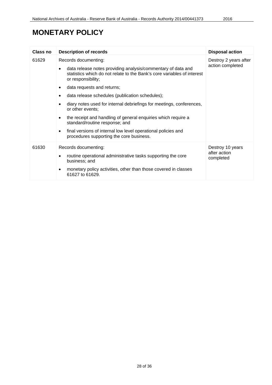# **MONETARY POLICY**

| <b>Class no</b> | <b>Description of records</b>                                                                                                                                                                                                                                                                                                                                                                                                                                                                                                                                                      | <b>Disposal action</b>                        |
|-----------------|------------------------------------------------------------------------------------------------------------------------------------------------------------------------------------------------------------------------------------------------------------------------------------------------------------------------------------------------------------------------------------------------------------------------------------------------------------------------------------------------------------------------------------------------------------------------------------|-----------------------------------------------|
| 61629           | Records documenting:<br>data release notes providing analysis/commentary of data and<br>statistics which do not relate to the Bank's core variables of interest<br>or responsibility;<br>data requests and returns;<br>data release schedules (publication schedules);<br>diary notes used for internal debriefings for meetings, conferences,<br>or other events;<br>the receipt and handling of general enquiries which require a<br>standard/routine response; and<br>final versions of internal low level operational policies and<br>procedures supporting the core business. | Destroy 2 years after<br>action completed     |
| 61630           | Records documenting:<br>routine operational administrative tasks supporting the core<br>business; and<br>monetary policy activities, other than those covered in classes<br>61627 to 61629.                                                                                                                                                                                                                                                                                                                                                                                        | Destroy 10 years<br>after action<br>completed |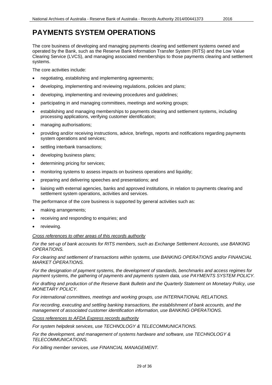### <span id="page-28-0"></span>**PAYMENTS SYSTEM OPERATIONS**

The core business of developing and managing payments clearing and settlement systems owned and operated by the Bank, such as the Reserve Bank Information Transfer System (RITS) and the Low Value Clearing Service (LVCS), and managing associated memberships to those payments clearing and settlement systems.

The core activities include:

- negotiating, establishing and implementing agreements;
- developing, implementing and reviewing regulations, policies and plans;
- developing, implementing and reviewing procedures and guidelines;
- participating in and managing committees, meetings and working groups;
- establishing and managing memberships to payments clearing and settlement systems, including processing applications, verifying customer identification;
- managing authorisations;
- providing and/or receiving instructions, advice, briefings, reports and notifications regarding payments system operations and services;
- settling interbank transactions;
- developing business plans;
- determining pricing for services;
- monitoring systems to assess impacts on business operations and liquidity;
- preparing and delivering speeches and presentations; and
- liaising with external agencies, banks and approved institutions, in relation to payments clearing and settlement system operations, activities and services.

The performance of the core business is supported by general activities such as:

- making arrangements;
- receiving and responding to enquiries; and
- reviewing.

### *Cross references to other areas of this records authority*

*For the set-up of bank accounts for RITS members, such as Exchange Settlement Accounts, use BANKING OPERATIONS.*

*For clearing and settlement of transactions within systems, use BANKING OPERATIONS and/or FINANCIAL MARKET OPERATIONS.*

*For the designation of payment systems, the development of standards, benchmarks and access regimes for payment systems, the gathering of payments and payments system data, use PAYMENTS SYSTEM POLICY.*

*For drafting and production of the Reserve Bank Bulletin and the Quarterly Statement on Monetary Policy, use MONETARY POLICY.*

*For international committees, meetings and working groups, use INTERNATIONAL RELATIONS.*

*For recording, executing and settling banking transactions, the establishment of bank accounts, and the management of associated customer identification information, use BANKING OPERATIONS.*

*Cross references to AFDA Express records authority*

*For system helpdesk services, use TECHNOLOGY & TELECOMMUNICATIONS.*

*For the development, and management of systems hardware and software, use TECHNOLOGY & TELECOMMUNICATIONS.*

*For billing member services, use FINANCIAL MANAGEMENT.*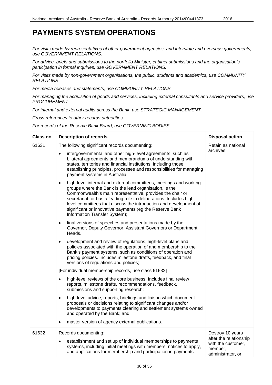### **PAYMENTS SYSTEM OPERATIONS**

*For visits made by representatives of other government agencies, and interstate and overseas governments, use GOVERNMENT RELATIONS.*

*For advice, briefs and submissions to the portfolio Minister, cabinet submissions and the organisation's participation in formal inquiries, use GOVERNMENT RELATIONS.*

*For visits made by non-government organisations, the public, students and academics, use COMMUNITY RELATIONS.*

*For media releases and statements, use COMMUNITY RELATIONS.*

*For managing the acquisition of goods and services, including external consultants and service providers, use PROCUREMENT.*

*For internal and external audits across the Bank, use STRATEGIC MANAGEMENT.*

*Cross references to other records authorities*

*For records of the Reserve Bank Board, use GOVERNING BODIES.*

| <b>Class no</b> | <b>Description of records</b>                                                                                                                                                                                                                                                                                                                                                                                                                 | <b>Disposal action</b>                                                                           |
|-----------------|-----------------------------------------------------------------------------------------------------------------------------------------------------------------------------------------------------------------------------------------------------------------------------------------------------------------------------------------------------------------------------------------------------------------------------------------------|--------------------------------------------------------------------------------------------------|
| 61631           | The following significant records documenting:                                                                                                                                                                                                                                                                                                                                                                                                | Retain as national                                                                               |
|                 | intergovernmental and other high-level agreements, such as<br>$\bullet$<br>bilateral agreements and memorandums of understanding with<br>states, territories and financial institutions, including those<br>establishing principles, processes and responsibilities for managing<br>payment systems in Australia;                                                                                                                             | archives                                                                                         |
|                 | high-level internal and external committees, meetings and working<br>$\bullet$<br>groups where the Bank is the lead organisation, is the<br>Commonwealth's main representative, provides the chair or<br>secretariat, or has a leading role in deliberations. Includes high-<br>level committees that discuss the introduction and development of<br>significant or innovative payments (eg the Reserve Bank<br>Information Transfer System); |                                                                                                  |
|                 | final versions of speeches and presentations made by the<br>$\bullet$<br>Governor, Deputy Governor, Assistant Governors or Department<br>Heads.                                                                                                                                                                                                                                                                                               |                                                                                                  |
|                 | development and review of regulations, high-level plans and<br>$\bullet$<br>policies associated with the operation of and membership to the<br>Bank's payment systems, such as conditions of operation and<br>pricing policies. Includes milestone drafts, feedback, and final<br>versions of regulations and policies;                                                                                                                       |                                                                                                  |
|                 | [For individual membership records, use class 61632]                                                                                                                                                                                                                                                                                                                                                                                          |                                                                                                  |
|                 | high-level reviews of the core business. Includes final review<br>$\bullet$<br>reports, milestone drafts, recommendations, feedback,<br>submissions and supporting research;                                                                                                                                                                                                                                                                  |                                                                                                  |
|                 | high-level advice, reports, briefings and liaison which document<br>$\bullet$<br>proposals or decisions relating to significant changes and/or<br>developments to payments clearing and settlement systems owned<br>and operated by the Bank; and                                                                                                                                                                                             |                                                                                                  |
|                 | master version of agency external publications.<br>$\bullet$                                                                                                                                                                                                                                                                                                                                                                                  |                                                                                                  |
| 61632           | Records documenting:<br>establishment and set up of individual memberships to payments<br>$\bullet$<br>systems, including initial meetings with members, notices to apply,<br>and applications for membership and participation in payments                                                                                                                                                                                                   | Destroy 10 years<br>after the relationship<br>with the customer,<br>member,<br>administrator, or |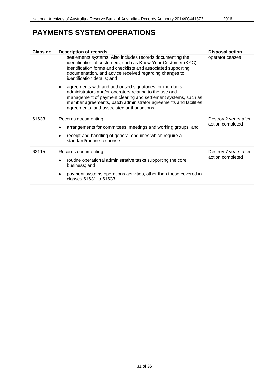# **PAYMENTS SYSTEM OPERATIONS**

| <b>Class no</b> | <b>Description of records</b>                                                                                                                                                                                                                                                                          | <b>Disposal action</b>                    |
|-----------------|--------------------------------------------------------------------------------------------------------------------------------------------------------------------------------------------------------------------------------------------------------------------------------------------------------|-------------------------------------------|
|                 | settlements systems. Also includes records documenting the<br>identification of customers, such as Know Your Customer (KYC)<br>identification forms and checklists and associated supporting<br>documentation, and advice received regarding changes to<br>identification details; and                 | operator ceases                           |
|                 | agreements with and authorised signatories for members,<br>administrators and/or operators relating to the use and<br>management of payment clearing and settlement systems, such as<br>member agreements, batch administrator agreements and facilities<br>agreements, and associated authorisations. |                                           |
| 61633           | Records documenting:                                                                                                                                                                                                                                                                                   | Destroy 2 years after<br>action completed |
|                 | arrangements for committees, meetings and working groups; and                                                                                                                                                                                                                                          |                                           |
|                 | receipt and handling of general enquiries which require a<br>standard/routine response.                                                                                                                                                                                                                |                                           |
| 62115           | Records documenting:                                                                                                                                                                                                                                                                                   | Destroy 7 years after                     |
|                 | routine operational administrative tasks supporting the core<br>business; and                                                                                                                                                                                                                          | action completed                          |
|                 | payment systems operations activities, other than those covered in<br>classes 61631 to 61633.                                                                                                                                                                                                          |                                           |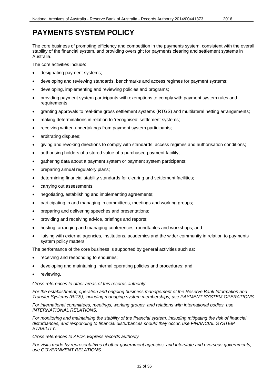<span id="page-31-0"></span>The core business of promoting efficiency and competition in the payments system, consistent with the overall stability of the financial system, and providing oversight for payments clearing and settlement systems in Australia.

The core activities include:

- designating payment systems;
- developing and reviewing standards, benchmarks and access regimes for payment systems;
- developing, implementing and reviewing policies and programs;
- providing payment system participants with exemptions to comply with payment system rules and requirements;
- granting approvals to real-time gross settlement systems (RTGS) and multilateral netting arrangements;
- making determinations in relation to 'recognised' settlement systems;
- receiving written undertakings from payment system participants;
- arbitrating disputes;
- giving and revoking directions to comply with standards, access regimes and authorisation conditions;
- authorising holders of a stored value of a purchased payment facility;
- gathering data about a payment system or payment system participants;
- preparing annual regulatory plans;
- determining financial stability standards for clearing and settlement facilities;
- carrying out assessments;
- negotiating, establishing and implementing agreements;
- participating in and managing in committees, meetings and working groups;
- preparing and delivering speeches and presentations;
- providing and receiving advice, briefings and reports;
- hosting, arranging and managing conferences, roundtables and workshops; and
- liaising with external agencies, institutions, academics and the wider community in relation to payments system policy matters.

The performance of the core business is supported by general activities such as:

- receiving and responding to enquiries;
- developing and maintaining internal operating policies and procedures; and
- reviewing.

### *Cross references to other areas of this records authority*

*For the establishment, operation and ongoing business management of the Reserve Bank Information and Transfer Systems (RITS), including managing system memberships, use PAYMENT SYSTEM OPERATIONS.*

*For international committees, meetings, working groups, and relations with international bodies, use INTERNATIONAL RELATIONS.*

*For monitoring and maintaining the stability of the financial system, including mitigating the risk of financial disturbances, and responding to financial disturbances should they occur, use FINANCIAL SYSTEM STABILITY.*

### *Cross references to AFDA Express records authority*

*For visits made by representatives of other government agencies, and interstate and overseas governments, use GOVERNMENT RELATIONS.*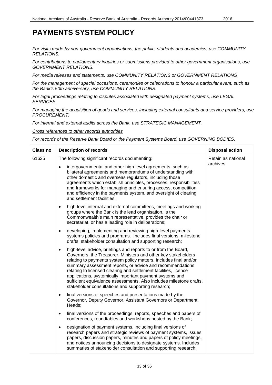# **PAYMENTS SYSTEM POLICY**

*For visits made by non-government organisations, the public, students and academics, use COMMUNITY RELATIONS.*

*For contributions to parliamentary inquiries or submissions provided to other government organisations, use GOVERNMENT RELATIONS.*

*For media releases and statements, use COMMUNITY RELATIONS or GOVERNMENT RELATIONS*

*For the management of special occasions, ceremonies or celebrations to honour a particular event, such as the Bank's 50th anniversary, use COMMUNITY RELATIONS.*

*For legal proceedings relating to disputes associated with designated payment systems, use LEGAL SERVICES.*

*For managing the acquisition of goods and services, including external consultants and service providers, use PROCUREMENT.*

*For internal and external audits across the Bank, use STRATEGIC MANAGEMENT.*

*Cross references to other records authorities*

*For records of the Reserve Bank Board or the Payment Systems Board, use GOVERNING BODIES.*

| <b>Class no</b> | <b>Description of records</b>                                                                                                                                                                                                                                                                                                                                                                                                                                                                                                                | <b>Disposal action</b> |
|-----------------|----------------------------------------------------------------------------------------------------------------------------------------------------------------------------------------------------------------------------------------------------------------------------------------------------------------------------------------------------------------------------------------------------------------------------------------------------------------------------------------------------------------------------------------------|------------------------|
| 61635           | The following significant records documenting:                                                                                                                                                                                                                                                                                                                                                                                                                                                                                               | Retain as national     |
|                 | intergovernmental and other high-level agreements, such as<br>bilateral agreements and memorandums of understanding with<br>other domestic and overseas regulators, including those<br>agreements which establish principles, processes, responsibilities<br>and frameworks for managing and ensuring access, competition<br>and efficiency in the payments system, and oversight of clearing<br>and settlement facilities;                                                                                                                  | archives               |
|                 | high-level internal and external committees, meetings and working<br>$\bullet$<br>groups where the Bank is the lead organisation, is the<br>Commonwealth's main representative, provides the chair or<br>secretariat, or has a leading role in deliberations;                                                                                                                                                                                                                                                                                |                        |
|                 | developing, implementing and reviewing high-level payments<br>٠<br>systems policies and programs. Includes final versions, milestone<br>drafts, stakeholder consultation and supporting research;                                                                                                                                                                                                                                                                                                                                            |                        |
|                 | high-level advice, briefings and reports to or from the Board,<br>$\bullet$<br>Governors, the Treasurer, Ministers and other key stakeholders<br>relating to payments system policy matters. Includes final and/or<br>summary assessment reports, or advice and recommendations<br>relating to licensed clearing and settlement facilities, licence<br>applications, systemically important payment systems and<br>sufficient equivalence assessments. Also includes milestone drafts,<br>stakeholder consultations and supporting research; |                        |
|                 | final versions of speeches and presentations made by the<br>$\bullet$<br>Governor, Deputy Governor, Assistant Governors or Department<br>Heads;                                                                                                                                                                                                                                                                                                                                                                                              |                        |
|                 | final versions of the proceedings, reports, speeches and papers of<br>٠<br>conferences, roundtables and workshops hosted by the Bank;                                                                                                                                                                                                                                                                                                                                                                                                        |                        |
|                 | designation of payment systems, including final versions of<br>$\bullet$<br>research papers and strategic reviews of payment systems, issues<br>papers, discussion papers, minutes and papers of policy meetings,<br>and notices announcing decisions to designate systems. Includes<br>summaries of stakeholder consultation and supporting research;                                                                                                                                                                                       |                        |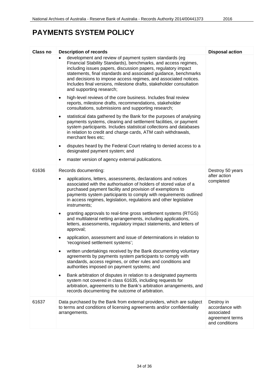# **PAYMENTS SYSTEM POLICY**

| Class no | <b>Description of records</b>                                                                                                                                                                                                                                                                                                                                                                                                       | <b>Disposal action</b>                                                           |
|----------|-------------------------------------------------------------------------------------------------------------------------------------------------------------------------------------------------------------------------------------------------------------------------------------------------------------------------------------------------------------------------------------------------------------------------------------|----------------------------------------------------------------------------------|
|          | development and review of payment system standards (eg<br>Financial Stability Standards), benchmarks, and access regimes,<br>including issues papers, discussion papers, regulatory impact<br>statements, final standards and associated guidance, benchmarks<br>and decisions to impose access regimes, and associated notices.<br>Includes final versions, milestone drafts, stakeholder consultation<br>and supporting research; |                                                                                  |
|          | high-level reviews of the core business. Includes final review<br>$\bullet$<br>reports, milestone drafts, recommendations, stakeholder<br>consultations, submissions and supporting research;                                                                                                                                                                                                                                       |                                                                                  |
|          | statistical data gathered by the Bank for the purposes of analysing<br>$\bullet$<br>payments systems, clearing and settlement facilities, or payment<br>system participants. Includes statistical collections and databases<br>in relation to credit and charge cards, ATM cash withdrawals,<br>merchant fees etc;                                                                                                                  |                                                                                  |
|          | disputes heard by the Federal Court relating to denied access to a<br>$\bullet$<br>designated payment system; and                                                                                                                                                                                                                                                                                                                   |                                                                                  |
|          | master version of agency external publications.                                                                                                                                                                                                                                                                                                                                                                                     |                                                                                  |
| 61636    | Records documenting:                                                                                                                                                                                                                                                                                                                                                                                                                | Destroy 50 years                                                                 |
|          | applications, letters, assessments, declarations and notices<br>$\bullet$<br>associated with the authorisation of holders of stored value of a<br>purchased payment facility and provision of exemptions to<br>payments system participants to comply with requirements outlined<br>in access regimes, legislation, regulations and other legislative<br>instruments;                                                               | after action<br>completed                                                        |
|          | granting approvals to real-time gross settlement systems (RTGS)<br>٠<br>and multilateral netting arrangements, including applications,<br>letters, assessments, regulatory impact statements, and letters of<br>approval;                                                                                                                                                                                                           |                                                                                  |
|          | application, assessment and issue of determinations in relation to<br>'recognised settlement systems';                                                                                                                                                                                                                                                                                                                              |                                                                                  |
|          | written undertakings received by the Bank documenting voluntary<br>agreements by payments system participants to comply with<br>standards, access regimes, or other rules and conditions and<br>authorities imposed on payment systems; and                                                                                                                                                                                         |                                                                                  |
|          | Bank arbitration of disputes in relation to a designated payments<br>٠<br>system not covered in class 61635, including requests for<br>arbitration, agreements to the Bank's arbitration arrangements, and<br>records documenting the outcome of arbitration.                                                                                                                                                                       |                                                                                  |
| 61637    | Data purchased by the Bank from external providers, which are subject<br>to terms and conditions of licensing agreements and/or confidentiality<br>arrangements.                                                                                                                                                                                                                                                                    | Destroy in<br>accordance with<br>associated<br>agreement terms<br>and conditions |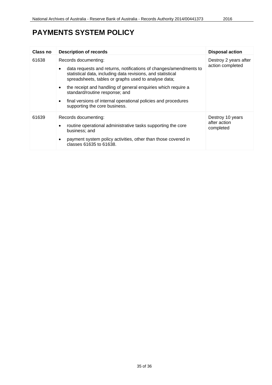# **PAYMENTS SYSTEM POLICY**

| Class no | <b>Description of records</b>                                                                                                                                                                                                                                                                                                                                                                                          | <b>Disposal action</b>                        |
|----------|------------------------------------------------------------------------------------------------------------------------------------------------------------------------------------------------------------------------------------------------------------------------------------------------------------------------------------------------------------------------------------------------------------------------|-----------------------------------------------|
| 61638    | Records documenting:<br>data requests and returns, notifications of changes/amendments to<br>statistical data, including data revisions, and statistical<br>spreadsheets, tables or graphs used to analyse data;<br>the receipt and handling of general enquiries which require a<br>standard/routine response; and<br>final versions of internal operational policies and procedures<br>supporting the core business. | Destroy 2 years after<br>action completed     |
| 61639    | Records documenting:<br>routine operational administrative tasks supporting the core<br>business; and<br>payment system policy activities, other than those covered in<br>classes 61635 to 61638.                                                                                                                                                                                                                      | Destroy 10 years<br>after action<br>completed |